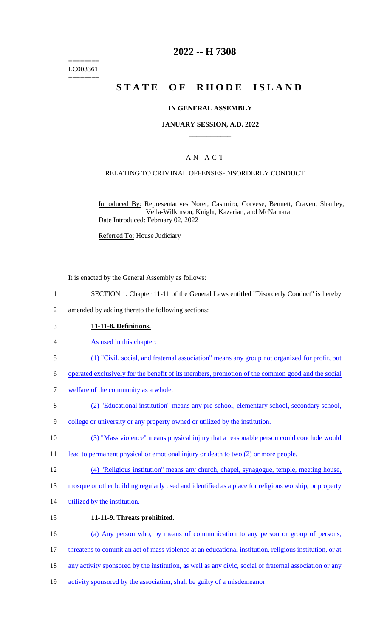======== LC003361 ========

## **2022 -- H 7308**

# **STATE OF RHODE ISLAND**

#### **IN GENERAL ASSEMBLY**

#### **JANUARY SESSION, A.D. 2022 \_\_\_\_\_\_\_\_\_\_\_\_**

#### A N A C T

#### RELATING TO CRIMINAL OFFENSES-DISORDERLY CONDUCT

Introduced By: Representatives Noret, Casimiro, Corvese, Bennett, Craven, Shanley, Vella-Wilkinson, Knight, Kazarian, and McNamara Date Introduced: February 02, 2022

Referred To: House Judiciary

It is enacted by the General Assembly as follows:

- 1 SECTION 1. Chapter 11-11 of the General Laws entitled "Disorderly Conduct" is hereby
- 2 amended by adding thereto the following sections:
- 3 **11-11-8. Definitions.**
- 4 As used in this chapter:
- 5 (1) "Civil, social, and fraternal association" means any group not organized for profit, but

6 operated exclusively for the benefit of its members, promotion of the common good and the social

- 7 welfare of the community as a whole.
- 8 (2) "Educational institution" means any pre-school, elementary school, secondary school,
- 9 college or university or any property owned or utilized by the institution.
- 10 (3) "Mass violence" means physical injury that a reasonable person could conclude would
- 11 lead to permanent physical or emotional injury or death to two (2) or more people.
- 12 (4) "Religious institution" means any church, chapel, synagogue, temple, meeting house,
- 13 mosque or other building regularly used and identified as a place for religious worship, or property
- 14 utilized by the institution.
- 15 **11-11-9. Threats prohibited.**

16 (a) Any person who, by means of communication to any person or group of persons,

- 17 threatens to commit an act of mass violence at an educational institution, religious institution, or at
- 18 any activity sponsored by the institution, as well as any civic, social or fraternal association or any
- 19 activity sponsored by the association, shall be guilty of a misdemeanor.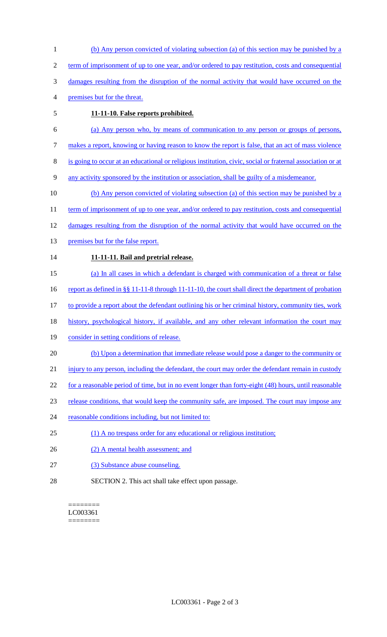- (b) Any person convicted of violating subsection (a) of this section may be punished by a term of imprisonment of up to one year, and/or ordered to pay restitution, costs and consequential damages resulting from the disruption of the normal activity that would have occurred on the premises but for the threat.
- 

# **11-11-10. False reports prohibited.**

- (a) Any person who, by means of communication to any person or groups of persons,
- makes a report, knowing or having reason to know the report is false, that an act of mass violence
- is going to occur at an educational or religious institution, civic, social or fraternal association or at
- any activity sponsored by the institution or association, shall be guilty of a misdemeanor.
- (b) Any person convicted of violating subsection (a) of this section may be punished by a
- 11 term of imprisonment of up to one year, and/or ordered to pay restitution, costs and consequential
- damages resulting from the disruption of the normal activity that would have occurred on the
- 13 premises but for the false report.

## **11-11-11. Bail and pretrial release.**

- (a) In all cases in which a defendant is charged with communication of a threat or false
- 16 report as defined in §§ 11-11-8 through 11-11-10, the court shall direct the department of probation
- 17 to provide a report about the defendant outlining his or her criminal history, community ties, work
- history, psychological history, if available, and any other relevant information the court may
- 19 consider in setting conditions of release.
- (b) Upon a determination that immediate release would pose a danger to the community or
- 21 injury to any person, including the defendant, the court may order the defendant remain in custody
- for a reasonable period of time, but in no event longer than forty-eight (48) hours, until reasonable
- release conditions, that would keep the community safe, are imposed. The court may impose any
- 24 reasonable conditions including, but not limited to:
- (1) A no trespass order for any educational or religious institution;
- 26 (2) A mental health assessment; and
- (3) Substance abuse counseling.
- SECTION 2. This act shall take effect upon passage.

======== LC003361 ========